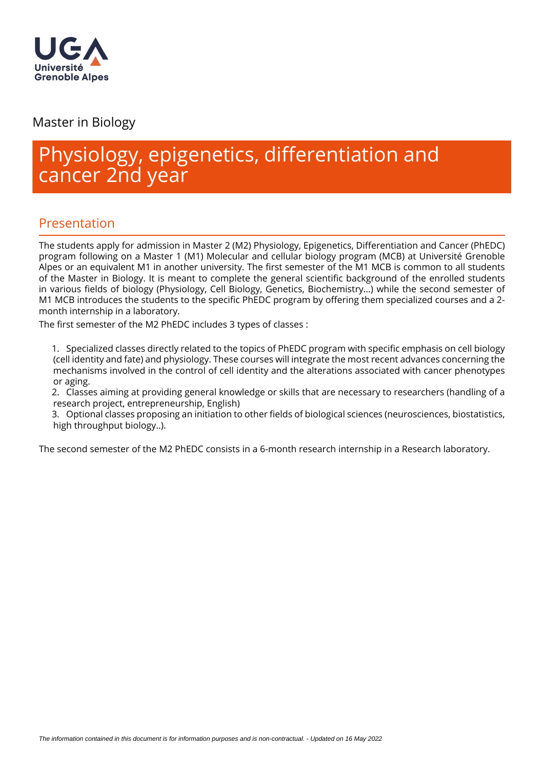

Master in Biology

# Physiology, epigenetics, differentiation and cancer 2nd year

# Presentation

The students apply for admission in Master 2 (M2) Physiology, Epigenetics, Differentiation and Cancer (PhEDC) program following on a Master 1 (M1) Molecular and cellular biology program (MCB) at Université Grenoble Alpes or an equivalent M1 in another university. The first semester of the M1 MCB is common to all students of the Master in Biology. It is meant to complete the general scientific background of the enrolled students in various fields of biology (Physiology, Cell Biology, Genetics, Biochemistry...) while the second semester of M1 MCB introduces the students to the specific PhEDC program by offering them specialized courses and a 2month internship in a laboratory.

The first semester of the M2 PhEDC includes 3 types of classes :

1. Specialized classes directly related to the topics of PhEDC program with specific emphasis on cell biology (cell identity and fate) and physiology. These courses will integrate the most recent advances concerning the mechanisms involved in the control of cell identity and the alterations associated with cancer phenotypes or aging.

2. Classes aiming at providing general knowledge or skills that are necessary to researchers (handling of a research project, entrepreneurship, English)

3. Optional classes proposing an initiation to other fields of biological sciences (neurosciences, biostatistics, high throughput biology..).

The second semester of the M2 PhEDC consists in a 6-month research internship in a Research laboratory.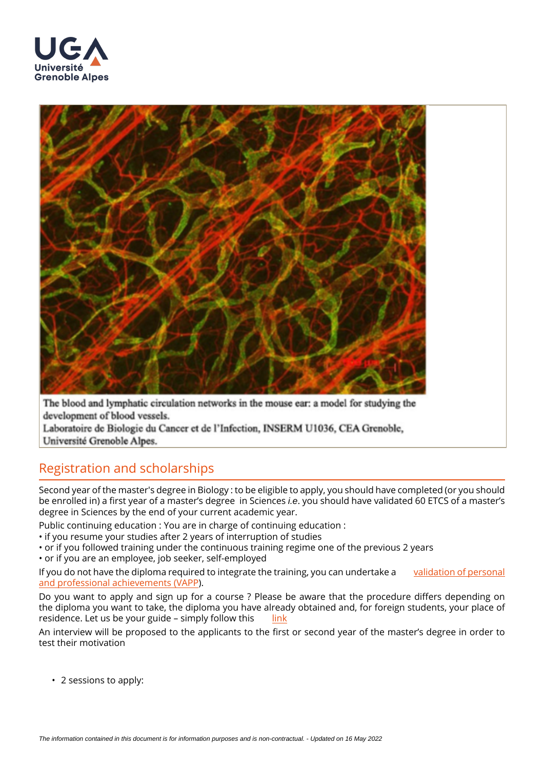



The blood and lymphatic circulation networks in the mouse ear: a model for studying the development of blood vessels.

Laboratoire de Biologie du Cancer et de l'Infection, INSERM U1036, CEA Grenoble, Université Grenoble Alpes.

# Registration and scholarships

Second year of the master's degree in Biology : to be eligible to apply, you should have completed (or you should be enrolled in) a first year of a master's degree in Sciences i.e. you should have validated 60 ETCS of a master's degree in Sciences by the end of your current academic year.

Public continuing education : You are in charge of continuing education :

- if you resume your studies after 2 years of interruption of studies
- or if you followed training under the continuous training regime one of the previous 2 years

• or if you are an employee, job seeker, self-employed

If you do not have the diploma required to integrate the training, you can undertake a validation of personal [and professional achievements \(VAPP](https://www.univ-grenoble-alpes.fr/construire-son-parcours/valider-ses-acquis/validation-des-acquis-personnels-et-professionnels-vapp)).

Do you want to apply and sign up for a course ? Please be aware that the procedure differs depending on the diploma you want to take, the diploma you have already obtained and, for foreign students, your place of residence. Let us be your guide – simply follow this [link](https://www.univ-grenoble-alpes.fr/education/how-to-apply/applying-and-registering/)

An interview will be proposed to the applicants to the first or second year of the master's degree in order to test their motivation

• 2 sessions to apply: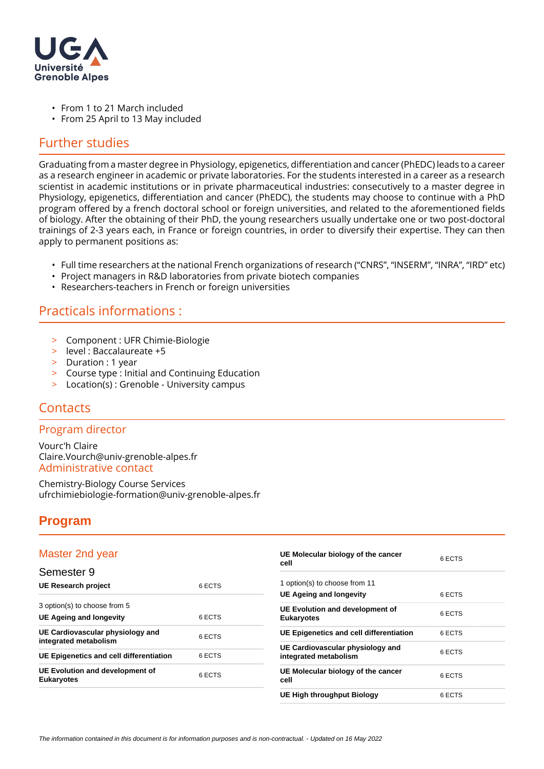

- From 1 to 21 March included
- From 25 April to 13 May included

### Further studies

Graduating from a master degree in Physiology, epigenetics, differentiation and cancer (PhEDC) leads to a career as a research engineer in academic or private laboratories. For the students interested in a career as a research scientist in academic institutions or in private pharmaceutical industries: consecutively to a master degree in Physiology, epigenetics, differentiation and cancer (PhEDC), the students may choose to continue with a PhD program offered by a french doctoral school or foreign universities, and related to the aforementioned fields of biology. After the obtaining of their PhD, the young researchers usually undertake one or two post-doctoral trainings of 2-3 years each, in France or foreign countries, in order to diversify their expertise. They can then apply to permanent positions as:

- Full time researchers at the national French organizations of research ("CNRS", "INSERM", "INRA", "IRD" etc)
- Project managers in R&D laboratories from private biotech companies
- Researchers-teachers in French or foreign universities

## Practicals informations :

- > Component : UFR Chimie-Biologie
- > level : Baccalaureate +5
- > Duration : 1 year
- > Course type : Initial and Continuing Education
- > Location(s) : Grenoble University campus

## **Contacts**

#### Program director

Vourc'h Claire Claire.Vourch@univ-grenoble-alpes.fr Administrative contact

Chemistry-Biology Course Services ufrchimiebiologie-formation@univ-grenoble-alpes.fr

## **Program**

#### Master 2nd year

| Master 2nd year                                                |        | UE Molecular biology of the cancer<br>cell                | 6 ECTS |
|----------------------------------------------------------------|--------|-----------------------------------------------------------|--------|
| Semester 9                                                     |        |                                                           |        |
| <b>UE Research project</b>                                     | 6 ECTS | 1 option(s) to choose from 11                             |        |
|                                                                |        | UE Ageing and longevity                                   | 6 ECTS |
| 3 option(s) to choose from 5<br><b>UE Ageing and longevity</b> | 6 ECTS | UE Evolution and development of<br><b>Eukaryotes</b>      | 6 ECTS |
| UE Cardiovascular physiology and<br>integrated metabolism      | 6 ECTS | UE Epigenetics and cell differentiation                   | 6 ECTS |
| UE Epigenetics and cell differentiation                        | 6 ECTS | UE Cardiovascular physiology and<br>integrated metabolism | 6 ECTS |
| UE Evolution and development of<br><b>Eukaryotes</b>           | 6 ECTS | UE Molecular biology of the cancer<br>cell                | 6 ECTS |
|                                                                |        | UE High throughput Biology                                | 6 ECTS |